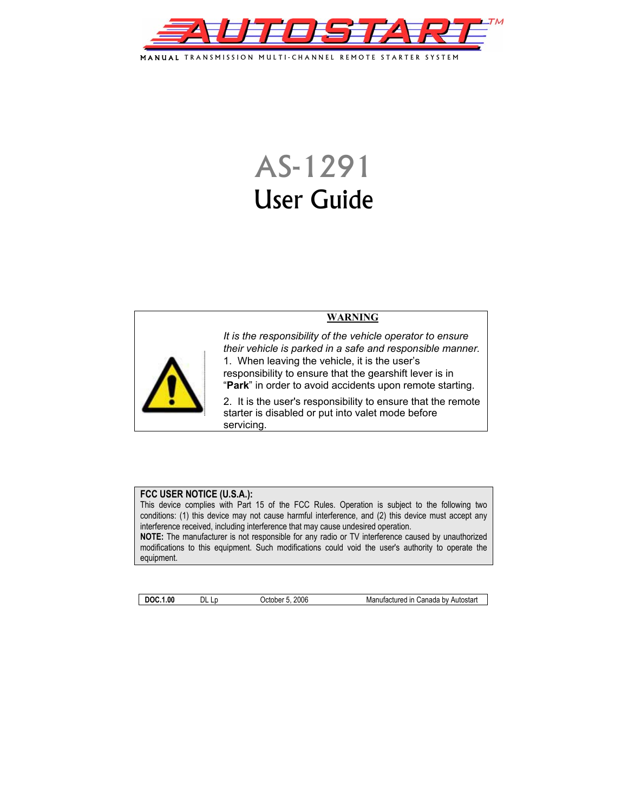

MANUAL TRANSMISSION MULTI-CHANNEL REMOTE STARTER SYSTEM

# AS-1291 User Guide



**WARNING**

*It is the responsibility of the vehicle operator to ensure their vehicle is parked in a safe and responsible manner.*  1. When leaving the vehicle, it is the user's responsibility to ensure that the gearshift lever is in "**Park**" in order to avoid accidents upon remote starting.

2. It is the user's responsibility to ensure that the remote starter is disabled or put into valet mode before servicing.

#### **FCC USER NOTICE (U.S.A.):**

This device complies with Part 15 of the FCC Rules. Operation is subject to the following two conditions: (1) this device may not cause harmful interference, and (2) this device must accept any interference received, including interference that may cause undesired operation.

**NOTE:** The manufacturer is not responsible for any radio or TV interference caused by unauthorized modifications to this equipment. Such modifications could void the user's authority to operate the equipment.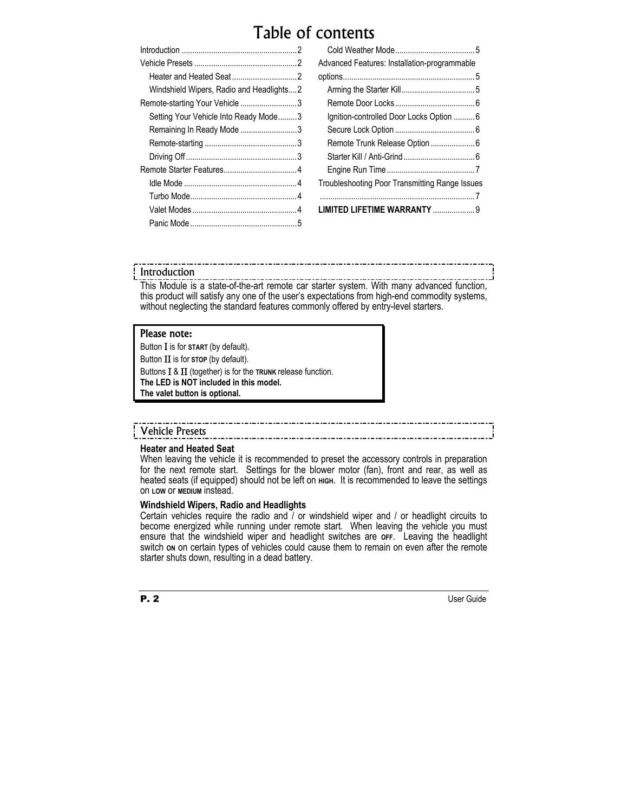## Table of contents

| Windshield Wipers, Radio and Headlights2 |  |
|------------------------------------------|--|
| Remote-starting Your Vehicle 3           |  |
| Setting Your Vehicle Into Ready Mode3    |  |
| Remaining In Ready Mode 3                |  |
|                                          |  |
|                                          |  |
|                                          |  |
|                                          |  |
|                                          |  |
|                                          |  |
|                                          |  |
|                                          |  |

| Advanced Features: Installation-programmable   |  |
|------------------------------------------------|--|
|                                                |  |
|                                                |  |
|                                                |  |
| Ignition-controlled Door Locks Option 6        |  |
|                                                |  |
|                                                |  |
|                                                |  |
|                                                |  |
| Troubleshooting Poor Transmitting Range Issues |  |
|                                                |  |
| LIMITED LIFETIME WARRANTY  9                   |  |
|                                                |  |

#### Introduction

This Module is a state-of-the-art remote car starter system. With many advanced function, this product will satisfy any one of the user's expectations from high-end commodity systems, without neglecting the standard features commonly offered by entry-level starters.

#### Please note:

Button Ι is for **START** (by default). Button ΙΙ is for **STOP** (by default).

Buttons Ι & ΙΙ (together) is for the **TRUNK** release function. **The LED is NOT included in this model.** 

**The valet button is optional.** 

### Vehicle Presets

#### **Heater and Heated Seat**

When leaving the vehicle it is recommended to preset the accessory controls in preparation for the next remote start. Settings for the blower motor (fan), front and rear, as well as heated seats (if equipped) should not be left on **HIGH.** It is recommended to leave the settings on **LOW** or **MEDIUM** instead.

#### **Windshield Wipers, Radio and Headlights**

Certain vehicles require the radio and / or windshield wiper and / or headlight circuits to become energized while running under remote start. When leaving the vehicle you must ensure that the windshield wiper and headlight switches are **OFF**. Leaving the headlight switch on on certain types of vehicles could cause them to remain on even after the remote starter shuts down, resulting in a dead battery.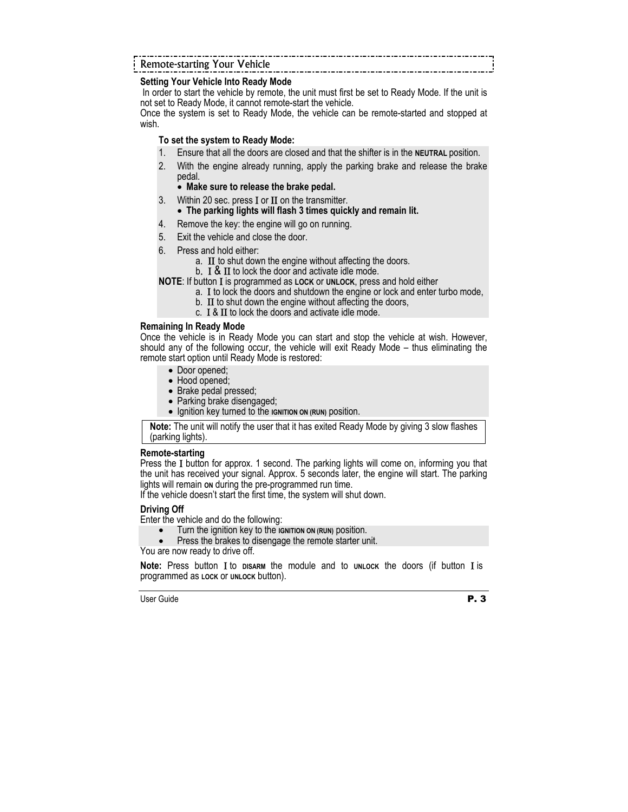### Remote-starting Your Vehicle

#### **Setting Your Vehicle Into Ready Mode**

 In order to start the vehicle by remote, the unit must first be set to Ready Mode. If the unit is not set to Ready Mode, it cannot remote-start the vehicle.

Once the system is set to Ready Mode, the vehicle can be remote-started and stopped at wish.

#### **To set the system to Ready Mode:**

- 1. Ensure that all the doors are closed and that the shifter is in the **NEUTRAL** position.
- 2. With the engine already running, apply the parking brake and release the brake pedal.

#### • **Make sure to release the brake pedal.**

3. Within 20 sec. press I or II on the transmitter.

#### • **The parking lights will flash 3 times quickly and remain lit.**

- 4. Remove the key: the engine will go on running.
- 5. Exit the vehicle and close the door.
- 
- 6. Press and hold either: a. II to shut down the engine without affecting the doors.<br>b. I & II to lock the door and activate idle mode.
	-

**NOTE**: If button Ι is programmed as **LOCK** or **UNLOCK**, press and hold either

- a. Ι to lock the doors and shutdown the engine or lock and enter turbo mode,
- b.  $\,$  II to shut down the engine without affecting the doors,
- c. Ι & ΙΙ to lock the doors and activate idle mode.

#### **Remaining In Ready Mode**

Once the vehicle is in Ready Mode you can start and stop the vehicle at wish. However, should any of the following occur, the vehicle will exit Ready Mode – thus eliminating the remote start option until Ready Mode is restored:

- Door opened;
- Hood opened;
- Brake pedal pressed;
- Parking brake disengaged;
- Ignition key turned to the **IGNITION ON (RUN)** position.

**Note:** The unit will notify the user that it has exited Ready Mode by giving 3 slow flashes (parking lights).

#### **Remote-starting**

Press the Ι button for approx. 1 second. The parking lights will come on, informing you that the unit has received your signal. Approx. 5 seconds later, the engine will start. The parking lights will remain **ON** during the pre-programmed run time.

If the vehicle doesn't start the first time, the system will shut down.

#### **Driving Off**

Enter the vehicle and do the following:

- Turn the ignition key to the **IGNITION ON (RUN)** position.
- Press the brakes to disengage the remote starter unit.

You are now ready to drive off.

**Note:** Press button Ι to **DISARM** the module and to **UNLOCK** the doors (if button Ι is programmed as **LOCK** or **UNLOCK** button).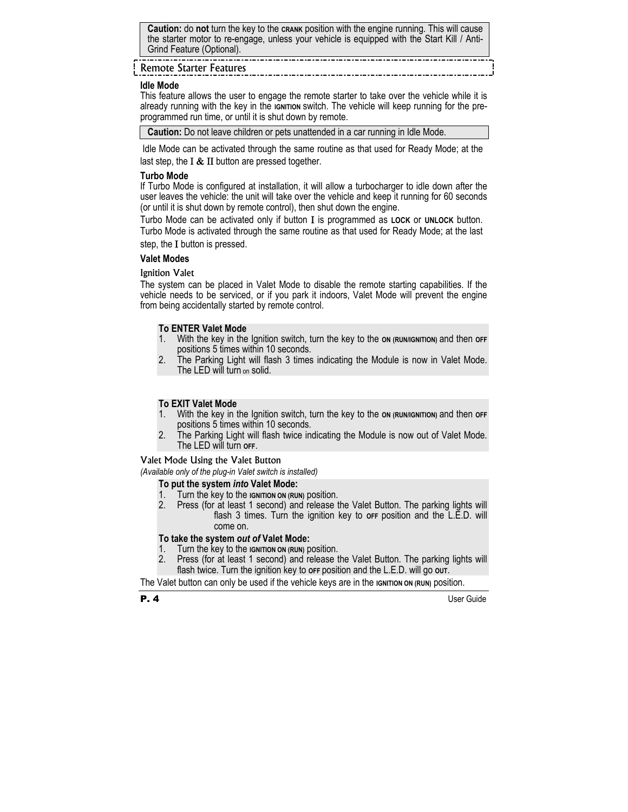**Caution:** do **not** turn the key to the **CRANK** position with the engine running. This will cause the starter motor to re-engage, unless your vehicle is equipped with the Start Kill / Anti-Grind Feature (Optional).

#### <u> 1000 - 1000 - 1000 - 10</u> Remote Starter Features

#### **Idle Mode**

This feature allows the user to engage the remote starter to take over the vehicle while it is already running with the key in the **IGNITION** switch. The vehicle will keep running for the preprogrammed run time, or until it is shut down by remote.

**Caution:** Do not leave children or pets unattended in a car running in Idle Mode.

 Idle Mode can be activated through the same routine as that used for Ready Mode; at the last step, the  $I < II$  button are pressed together.

#### **Turbo Mode**

If Turbo Mode is configured at installation, it will allow a turbocharger to idle down after the user leaves the vehicle: the unit will take over the vehicle and keep it running for 60 seconds (or until it is shut down by remote control), then shut down the engine.

Turbo Mode can be activated only if button Ι is programmed as **LOCK** or **UNLOCK** button.

Turbo Mode is activated through the same routine as that used for Ready Mode; at the last step, the Ι button is pressed.

#### **Valet Modes**

#### Ignition Valet

The system can be placed in Valet Mode to disable the remote starting capabilities. If the vehicle needs to be serviced, or if you park it indoors, Valet Mode will prevent the engine from being accidentally started by remote control.

#### **To ENTER Valet Mode**

- 1. With the key in the Ignition switch, turn the key to the **ON (RUN/IGNITION)** and then **OFF**  positions 5 times within 10 seconds.
- 2. The Parking Light will flash 3 times indicating the Module is now in Valet Mode. The LED will turn on solid.

#### **To EXIT Valet Mode**

- 1. With the key in the Ignition switch, turn the key to the **ON (RUN/IGNITION)** and then **OFF**  positions 5 times within 10 seconds.
- 2. The Parking Light will flash twice indicating the Module is now out of Valet Mode. The LED will turn **OFF**.

#### Valet Mode Using the Valet Button

*(Available only of the plug-in Valet switch is installed)* 

#### **To put the system** *into* **Valet Mode:**

- 1. Turn the key to the **IGNITION ON (RUN)** position.<br>2. Press (for at least 1 second) and release t
- 2. Press (for at least 1 second) and release the Valet Button. The parking lights will flash 3 times. Turn the ignition key to orf position and the L.E.D. will come on.

#### **To take the system** *out of* **Valet Mode:**

- 1. Turn the key to the **IGNITION ON (RUN)** position.
- 2. Press (for at least 1 second) and release the Valet Button. The parking lights will flash twice. Turn the ignition key to **OFF** position and the L.E.D. will go **OUT**.

The Valet button can only be used if the vehicle keys are in the **IGNITION ON (RUN)** position.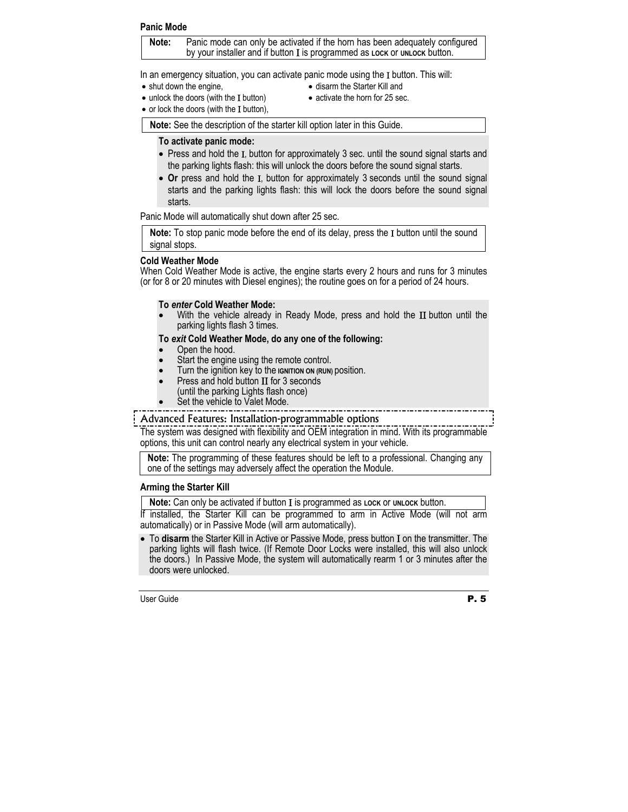#### **Panic Mode**

**Note:** Panic mode can only be activated if the horn has been adequately configured by your installer and if button Ι is programmed as **LOCK** or **UNLOCK** button.

In an emergency situation, you can activate panic mode using the Ι button. This will:

• shut down the engine,

- disarm the Starter Kill and
- unlock the doors (with the Ι button)
- activate the horn for 25 sec.
- or lock the doors (with the I button).

**Note:** See the description of the starter kill option later in this Guide.

#### **To activate panic mode:**

- Press and hold the Ι, button for approximately 3 sec. until the sound signal starts and the parking lights flash: this will unlock the doors before the sound signal starts.
- Or press and hold the I, button for approximately 3 seconds until the sound signal starts and the parking lights flash: this will lock the doors before the sound signal starts.

Panic Mode will automatically shut down after 25 sec.

**Note:** To stop panic mode before the end of its delay, press the Ι button until the sound signal stops.

#### **Cold Weather Mode**

When Cold Weather Mode is active, the engine starts every 2 hours and runs for 3 minutes (or for 8 or 20 minutes with Diesel engines); the routine goes on for a period of 24 hours.

#### **To** *enter* **Cold Weather Mode:**

With the vehicle already in Ready Mode, press and hold the II button until the parking lights flash 3 times.

#### **To** *exit* **Cold Weather Mode, do any one of the following:**

- Open the hood.
- Start the engine using the remote control.
- Turn the ignition key to the **IGNITION ON (RUN)** position.
- Press and hold button ΙΙ for 3 seconds (until the parking Lights flash once)
- Set the vehicle to Valet Mode.

#### Advanced Features: Installation-programmable options

The system was designed with flexibility and OEM integration in mind. With its programmable options, this unit can control nearly any electrical system in your vehicle.

**Note:** The programming of these features should be left to a professional. Changing any one of the settings may adversely affect the operation the Module.

#### **Arming the Starter Kill**

**Note:** Can only be activated if button Ι is programmed as **LOCK** or **UNLOCK** button.

If installed, the Starter Kill can be programmed to arm in Active Mode (will not arm automatically) or in Passive Mode (will arm automatically).

• To **disarm** the Starter Kill in Active or Passive Mode, press button Ι on the transmitter. The parking lights will flash twice. (If Remote Door Locks were installed, this will also unlock the doors.) In Passive Mode, the system will automatically rearm 1 or 3 minutes after the doors were unlocked.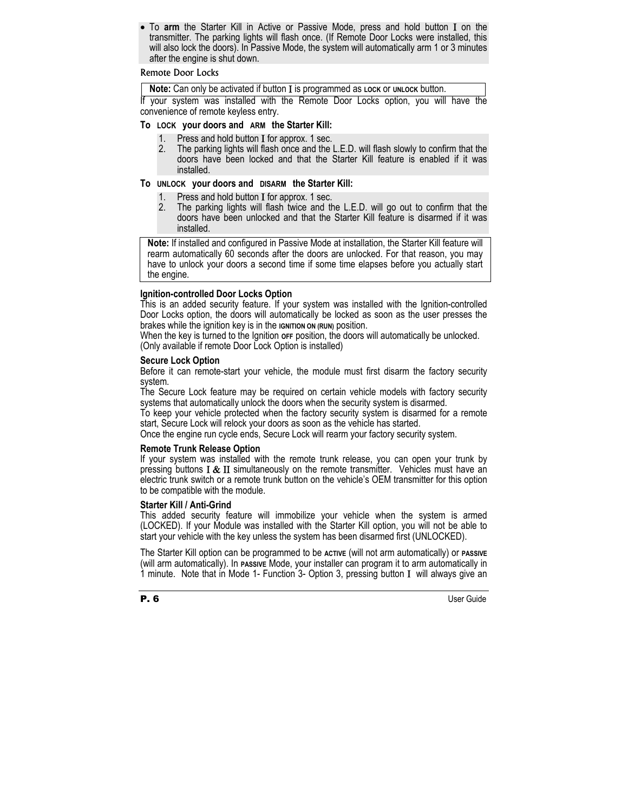• To **arm** the Starter Kill in Active or Passive Mode, press and hold button Ι on the transmitter. The parking lights will flash once. (If Remote Door Locks were installed, this will also lock the doors). In Passive Mode, the system will automatically arm 1 or 3 minutes after the engine is shut down.

#### Remote Door Locks

**Note:** Can only be activated if button Ι is programmed as **LOCK** or **UNLOCK** button.

If your system was installed with the Remote Door Locks option, you will have the convenience of remote keyless entry.

#### **To LOCK your doors and ARM the Starter Kill:**

- 1. Press and hold button I for approx. 1 sec.<br>2. The parking lights will flash once and the l
- 2. The parking lights will flash once and the L.E.D. will flash slowly to confirm that the doors have been locked and that the Starter Kill feature is enabled if it was installed.

#### **To UNLOCK your doors and DISARM the Starter Kill:**

- 1. Press and hold button Ι for approx. 1 sec.
- The parking lights will flash twice and the L.E.D. will go out to confirm that the doors have been unlocked and that the Starter Kill feature is disarmed if it was installed.

**Note:** If installed and configured in Passive Mode at installation, the Starter Kill feature will rearm automatically 60 seconds after the doors are unlocked. For that reason, you may have to unlock your doors a second time if some time elapses before you actually start the engine.

#### **Ignition-controlled Door Locks Option**

This is an added security feature. If your system was installed with the Ignition-controlled Door Locks option, the doors will automatically be locked as soon as the user presses the brakes while the ignition key is in the **IGNITION ON (RUN)** position.

When the key is turned to the Ignition **OFF** position, the doors will automatically be unlocked. (Only available if remote Door Lock Option is installed)

#### **Secure Lock Option**

Before it can remote-start your vehicle, the module must first disarm the factory security system.

The Secure Lock feature may be required on certain vehicle models with factory security systems that automatically unlock the doors when the security system is disarmed.

To keep your vehicle protected when the factory security system is disarmed for a remote start, Secure Lock will relock your doors as soon as the vehicle has started.

Once the engine run cycle ends, Secure Lock will rearm your factory security system.

#### **Remote Trunk Release Option**

If your system was installed with the remote trunk release, you can open your trunk by pressing buttons  $I \& II$  simultaneously on the remote transmitter. Vehicles must have an electric trunk switch or a remote trunk button on the vehicle's OEM transmitter for this option to be compatible with the module.

#### **Starter Kill / Anti-Grind**

This added security feature will immobilize your vehicle when the system is armed (LOCKED). If your Module was installed with the Starter Kill option, you will not be able to start your vehicle with the key unless the system has been disarmed first (UNLOCKED).

The Starter Kill option can be programmed to be **ACTIVE** (will not arm automatically) or **PASSIVE** (will arm automatically). In **PASSIVE** Mode, your installer can program it to arm automatically in 1 minute. Note that in Mode 1- Function 3- Option 3, pressing button Ι will always give an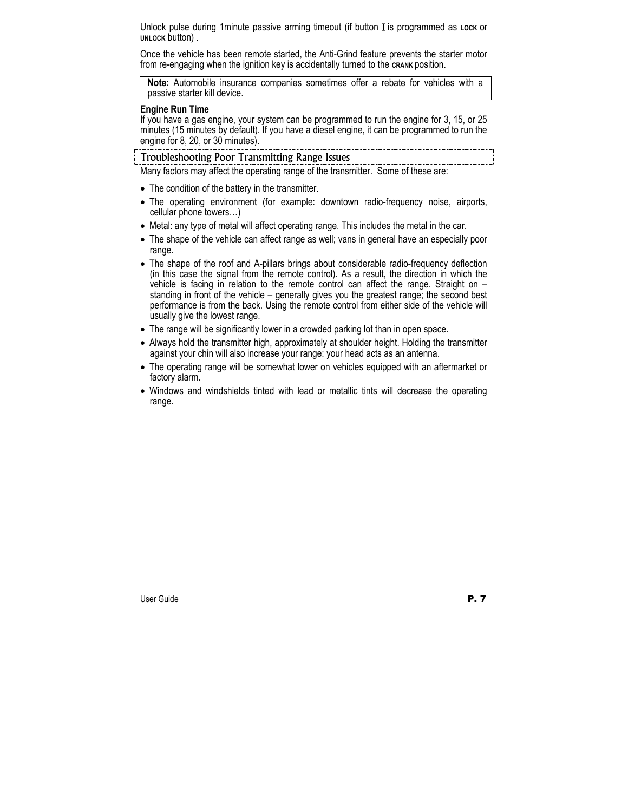Unlock pulse during 1minute passive arming timeout (if button Ι is programmed as **LOCK** or **UNLOCK** button) .

Once the vehicle has been remote started, the Anti-Grind feature prevents the starter motor from re-engaging when the ignition key is accidentally turned to the **CRANK** position.

**Note:** Automobile insurance companies sometimes offer a rebate for vehicles with a passive starter kill device.

#### **Engine Run Time**

If you have a gas engine, your system can be programmed to run the engine for 3, 15, or 25 minutes (15 minutes by default). If you have a diesel engine, it can be programmed to run the engine for 8, 20, or 30 minutes).

Troubleshooting Poor Transmitting Range Issues

Many factors may affect the operating range of the transmitter. Some of these are:

- The condition of the battery in the transmitter.
- The operating environment (for example: downtown radio-frequency noise, airports, cellular phone towers…)
- Metal: any type of metal will affect operating range. This includes the metal in the car.
- The shape of the vehicle can affect range as well; vans in general have an especially poor range.
- The shape of the roof and A-pillars brings about considerable radio-frequency deflection (in this case the signal from the remote control). As a result, the direction in which the vehicle is facing in relation to the remote control can affect the range. Straight on  $$ standing in front of the vehicle – generally gives you the greatest range; the second best performance is from the back. Using the remote control from either side of the vehicle will usually give the lowest range.
- The range will be significantly lower in a crowded parking lot than in open space.
- Always hold the transmitter high, approximately at shoulder height. Holding the transmitter against your chin will also increase your range: your head acts as an antenna.
- The operating range will be somewhat lower on vehicles equipped with an aftermarket or factory alarm.
- Windows and windshields tinted with lead or metallic tints will decrease the operating range.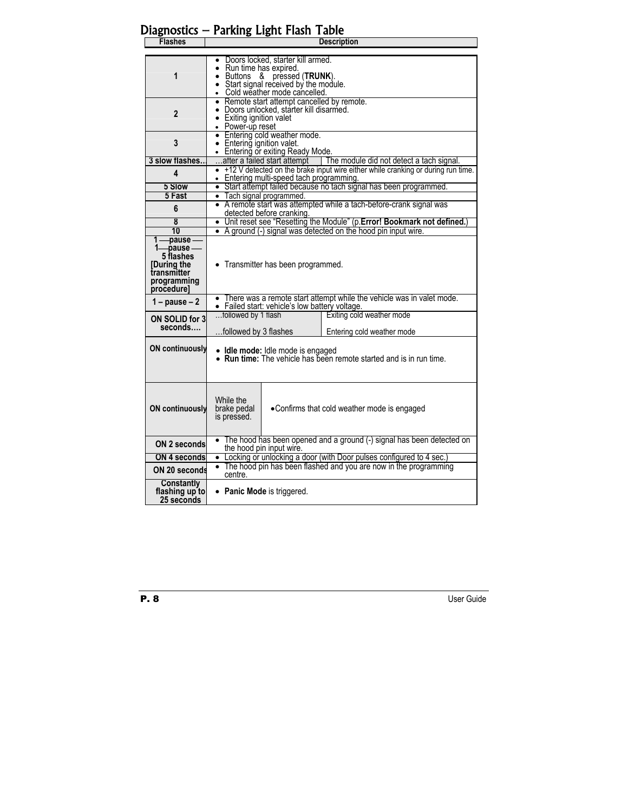|                                                                                                | Diagnostics — Parking Light Flash Table                                                                                                                                           |
|------------------------------------------------------------------------------------------------|-----------------------------------------------------------------------------------------------------------------------------------------------------------------------------------|
| <b>Flashes</b>                                                                                 | <b>Description</b>                                                                                                                                                                |
|                                                                                                |                                                                                                                                                                                   |
| 1                                                                                              | Doors locked, starter kill armed.<br>Run time has expired.<br>$\bullet$ Buttons &<br>pressed (TRUNK).<br>• Start signal received by the module.<br>• Cold weather mode cancelled. |
| $\mathbf{2}$                                                                                   | • Remote start attempt cancelled by remote.<br>• Doors unlocked, starter kill disarmed.<br>• Exiting ignition valet<br>• Power-up reset                                           |
| 3                                                                                              | • Entering cold weather mode.<br>• Entering ignition valet.<br>• Entering or exiting Ready Mode.                                                                                  |
| 3 slow flashes                                                                                 | after a failed start attempt   The module did not detect a tach signal.                                                                                                           |
| 4                                                                                              | • +12 V detected on the brake input wire either while cranking or during run time.<br>• Entering multi-speed tach programming.                                                    |
| 5 Slow                                                                                         | • Start attempt failed because no tach signal has been programmed.                                                                                                                |
| 5 Fast                                                                                         | • Tach signal programmed.<br>• A remote start was attempted while a tach-before-crank signal was                                                                                  |
| 6                                                                                              | detected before cranking.                                                                                                                                                         |
| 8                                                                                              | • Unit reset see "Resetting the Module" (p. Error! Bookmark not defined.)                                                                                                         |
| 10                                                                                             | • A ground (-) signal was detected on the hood pin input wire.                                                                                                                    |
| $1$ — pause<br>-pause-<br>5 flashes<br>[During the<br>transmitter<br>programming<br>procedure] | • Transmitter has been programmed.                                                                                                                                                |
| 1 – pause – $2$                                                                                | • There was a remote start attempt while the vehicle was in valet mode.<br>• Failed start: vehicle's low battery voltage.                                                         |
| ON SOLID for 3                                                                                 | followed by 1 flash<br>Exiting cold weather mode                                                                                                                                  |
| seconds….                                                                                      | followed by 3 flashes<br>Entering cold weather mode                                                                                                                               |
| <b>ON continuously</b>                                                                         | • Idle mode: Idle mode is engaged<br>• Run time: The vehicle has been remote started and is in run time.                                                                          |
| <b>ON continuously</b>                                                                         | While the<br>brake pedal<br>•Confirms that cold weather mode is engaged<br>is pressed.                                                                                            |
| ON 2 seconds                                                                                   | The hood has been opened and a ground (-) signal has been detected on<br>the hood pin input wire.                                                                                 |
| <b>ON 4 seconds</b>                                                                            | • Locking or unlocking a door (with Door pulses configured to 4 sec.)                                                                                                             |
| ON 20 seconds                                                                                  | • The hood pin has been flashed and you are now in the programming<br>centre.                                                                                                     |
| <b>Constantly</b><br>flashing up to<br>25 seconds                                              | • Panic Mode is triggered.                                                                                                                                                        |